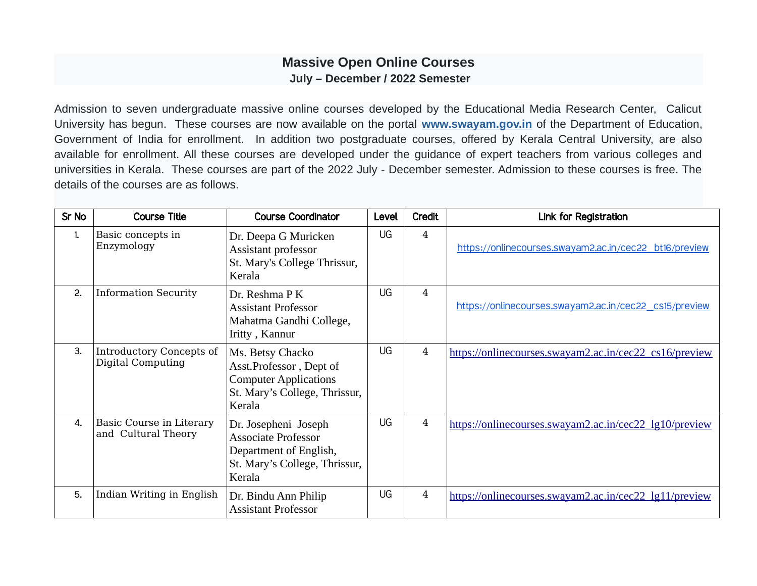## **Massive Open Online Courses July – December / 2022 Semester**

Admission to seven undergraduate massive online courses developed by the Educational Media Research Center, Calicut University has begun. These courses are now available on the portal **[www.swayam.gov.in](http://www.swayam.gov.in/)** of the Department of Education, Government of India for enrollment. In addition two postgraduate courses, offered by Kerala Central University, are also available for enrollment. All these courses are developed under the guidance of expert teachers from various colleges and universities in Kerala. These courses are part of the 2022 July - December semester. Admission to these courses is free. The details of the courses are as follows.

| Sr No | <b>Course Title</b>                             | <b>Course Coordinator</b>                                                                                               | Level | Credit         | Link for Registration                                  |
|-------|-------------------------------------------------|-------------------------------------------------------------------------------------------------------------------------|-------|----------------|--------------------------------------------------------|
| 1.    | Basic concepts in<br>Enzymology                 | Dr. Deepa G Muricken<br>Assistant professor<br>St. Mary's College Thrissur,<br>Kerala                                   | UG    | 4              | https://onlinecourses.swayam2.ac.in/cec22_bt16/preview |
| 2.    | <b>Information Security</b>                     | Dr. Reshma P K<br><b>Assistant Professor</b><br>Mahatma Gandhi College,<br>Iritty, Kannur                               | UG    | $\overline{4}$ | https://onlinecourses.swayam2.ac.in/cec22_cs15/preview |
| 3.    | Introductory Concepts of<br>Digital Computing   | Ms. Betsy Chacko<br>Asst.Professor, Dept of<br><b>Computer Applications</b><br>St. Mary's College, Thrissur,<br>Kerala  | UG    | $\overline{4}$ | https://onlinecourses.swayam2.ac.in/cec22_cs16/preview |
| 4.    | Basic Course in Literary<br>and Cultural Theory | Dr. Josepheni Joseph<br><b>Associate Professor</b><br>Department of English,<br>St. Mary's College, Thrissur,<br>Kerala | UG    | $\overline{4}$ | https://onlinecourses.swayam2.ac.in/cec22_lg10/preview |
| 5.    | Indian Writing in English                       | Dr. Bindu Ann Philip<br><b>Assistant Professor</b>                                                                      | UG    | $\overline{4}$ | https://onlinecourses.swayam2.ac.in/cec22_lg11/preview |